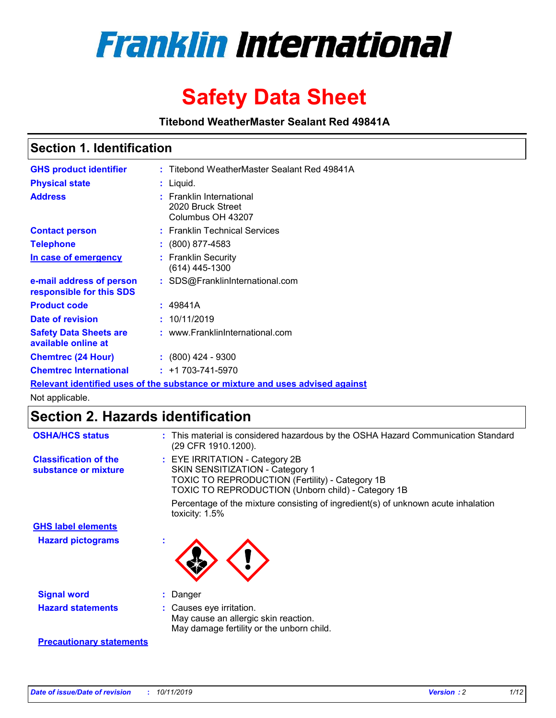

# **Safety Data Sheet**

**Titebond WeatherMaster Sealant Red 49841A**

### **Section 1. Identification**

| <b>GHS product identifier</b>                                                 |  | : Titebond WeatherMaster Sealant Red 49841A                        |  |  |  |
|-------------------------------------------------------------------------------|--|--------------------------------------------------------------------|--|--|--|
| <b>Physical state</b>                                                         |  | : Liquid.                                                          |  |  |  |
| <b>Address</b>                                                                |  | : Franklin International<br>2020 Bruck Street<br>Columbus OH 43207 |  |  |  |
| <b>Contact person</b>                                                         |  | : Franklin Technical Services                                      |  |  |  |
| <b>Telephone</b>                                                              |  | $\div$ (800) 877-4583                                              |  |  |  |
| In case of emergency                                                          |  | : Franklin Security<br>(614) 445-1300                              |  |  |  |
| e-mail address of person<br>responsible for this SDS                          |  | : SDS@FranklinInternational.com                                    |  |  |  |
| <b>Product code</b>                                                           |  | : 49841A                                                           |  |  |  |
| Date of revision                                                              |  | : 10/11/2019                                                       |  |  |  |
| <b>Safety Data Sheets are</b><br>available online at                          |  | : www.FranklinInternational.com                                    |  |  |  |
| <b>Chemtrec (24 Hour)</b>                                                     |  | $\div$ (800) 424 - 9300                                            |  |  |  |
| <b>Chemtrec International</b>                                                 |  | $: +1703 - 741 - 5970$                                             |  |  |  |
| Relevant identified uses of the substance or mixture and uses advised against |  |                                                                    |  |  |  |

Not applicable.

## **Section 2. Hazards identification**

| <b>OSHA/HCS status</b>                               | : This material is considered hazardous by the OSHA Hazard Communication Standard<br>(29 CFR 1910.1200).                                                                                 |
|------------------------------------------------------|------------------------------------------------------------------------------------------------------------------------------------------------------------------------------------------|
| <b>Classification of the</b><br>substance or mixture | : EYE IRRITATION - Category 2B<br>SKIN SENSITIZATION - Category 1<br><b>TOXIC TO REPRODUCTION (Fertility) - Category 1B</b><br><b>TOXIC TO REPRODUCTION (Unborn child) - Category 1B</b> |
|                                                      | Percentage of the mixture consisting of ingredient(s) of unknown acute inhalation<br>toxicity: $1.5\%$                                                                                   |
| <b>GHS label elements</b>                            |                                                                                                                                                                                          |
| <b>Hazard pictograms</b>                             |                                                                                                                                                                                          |
| <b>Signal word</b>                                   | : Danger                                                                                                                                                                                 |
| <b>Hazard statements</b>                             | : Causes eye irritation.<br>May cause an allergic skin reaction.<br>May damage fertility or the unborn child.                                                                            |
| <b>Precautionary statements</b>                      |                                                                                                                                                                                          |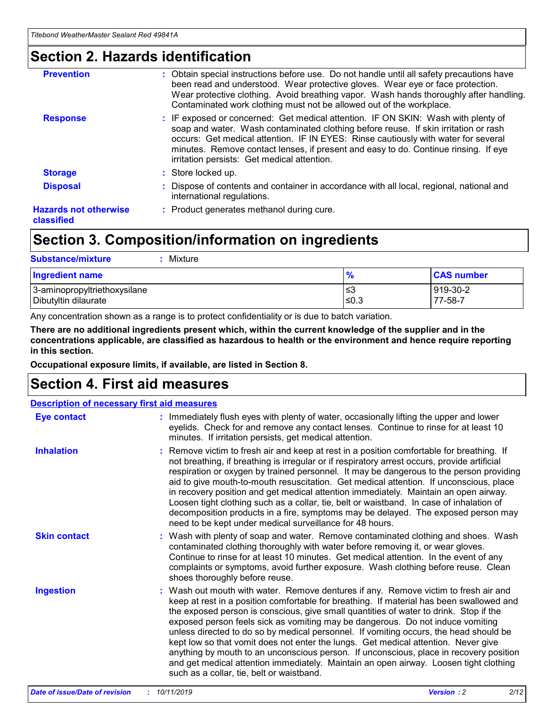### **Section 2. Hazards identification**

| <b>Prevention</b>                          | : Obtain special instructions before use. Do not handle until all safety precautions have<br>been read and understood. Wear protective gloves. Wear eye or face protection.<br>Wear protective clothing. Avoid breathing vapor. Wash hands thoroughly after handling.<br>Contaminated work clothing must not be allowed out of the workplace.                                                        |
|--------------------------------------------|------------------------------------------------------------------------------------------------------------------------------------------------------------------------------------------------------------------------------------------------------------------------------------------------------------------------------------------------------------------------------------------------------|
| <b>Response</b>                            | : IF exposed or concerned: Get medical attention. IF ON SKIN: Wash with plenty of<br>soap and water. Wash contaminated clothing before reuse. If skin irritation or rash<br>occurs: Get medical attention. IF IN EYES: Rinse cautiously with water for several<br>minutes. Remove contact lenses, if present and easy to do. Continue rinsing. If eye<br>irritation persists: Get medical attention. |
| <b>Storage</b>                             | : Store locked up.                                                                                                                                                                                                                                                                                                                                                                                   |
| <b>Disposal</b>                            | : Dispose of contents and container in accordance with all local, regional, national and<br>international regulations.                                                                                                                                                                                                                                                                               |
| <b>Hazards not otherwise</b><br>classified | : Product generates methanol during cure.                                                                                                                                                                                                                                                                                                                                                            |
|                                            |                                                                                                                                                                                                                                                                                                                                                                                                      |

## **Section 3. Composition/information on ingredients**

| <b>Substance/mixture</b><br>Mixture                  |                   |                     |
|------------------------------------------------------|-------------------|---------------------|
| <b>Ingredient name</b>                               | $\frac{9}{6}$     | <b>CAS number</b>   |
| 3-aminopropyltriethoxysilane<br>Dibutyltin dilaurate | l≤3<br>$\leq 0.3$ | 919-30-2<br>77-58-7 |

Any concentration shown as a range is to protect confidentiality or is due to batch variation.

**There are no additional ingredients present which, within the current knowledge of the supplier and in the concentrations applicable, are classified as hazardous to health or the environment and hence require reporting in this section.**

**Occupational exposure limits, if available, are listed in Section 8.**

## **Section 4. First aid measures**

| <b>Description of necessary first aid measures</b> |                                                                                                                                                                                                                                                                                                                                                                                                                                                                                                                                                                                                                                                                                                                                                                           |  |  |  |
|----------------------------------------------------|---------------------------------------------------------------------------------------------------------------------------------------------------------------------------------------------------------------------------------------------------------------------------------------------------------------------------------------------------------------------------------------------------------------------------------------------------------------------------------------------------------------------------------------------------------------------------------------------------------------------------------------------------------------------------------------------------------------------------------------------------------------------------|--|--|--|
| <b>Eye contact</b>                                 | : Immediately flush eyes with plenty of water, occasionally lifting the upper and lower<br>eyelids. Check for and remove any contact lenses. Continue to rinse for at least 10<br>minutes. If irritation persists, get medical attention.                                                                                                                                                                                                                                                                                                                                                                                                                                                                                                                                 |  |  |  |
| <b>Inhalation</b>                                  | : Remove victim to fresh air and keep at rest in a position comfortable for breathing. If<br>not breathing, if breathing is irregular or if respiratory arrest occurs, provide artificial<br>respiration or oxygen by trained personnel. It may be dangerous to the person providing<br>aid to give mouth-to-mouth resuscitation. Get medical attention. If unconscious, place<br>in recovery position and get medical attention immediately. Maintain an open airway.<br>Loosen tight clothing such as a collar, tie, belt or waistband. In case of inhalation of<br>decomposition products in a fire, symptoms may be delayed. The exposed person may<br>need to be kept under medical surveillance for 48 hours.                                                       |  |  |  |
| <b>Skin contact</b>                                | : Wash with plenty of soap and water. Remove contaminated clothing and shoes. Wash<br>contaminated clothing thoroughly with water before removing it, or wear gloves.<br>Continue to rinse for at least 10 minutes. Get medical attention. In the event of any<br>complaints or symptoms, avoid further exposure. Wash clothing before reuse. Clean<br>shoes thoroughly before reuse.                                                                                                                                                                                                                                                                                                                                                                                     |  |  |  |
| <b>Ingestion</b>                                   | : Wash out mouth with water. Remove dentures if any. Remove victim to fresh air and<br>keep at rest in a position comfortable for breathing. If material has been swallowed and<br>the exposed person is conscious, give small quantities of water to drink. Stop if the<br>exposed person feels sick as vomiting may be dangerous. Do not induce vomiting<br>unless directed to do so by medical personnel. If vomiting occurs, the head should be<br>kept low so that vomit does not enter the lungs. Get medical attention. Never give<br>anything by mouth to an unconscious person. If unconscious, place in recovery position<br>and get medical attention immediately. Maintain an open airway. Loosen tight clothing<br>such as a collar, tie, belt or waistband. |  |  |  |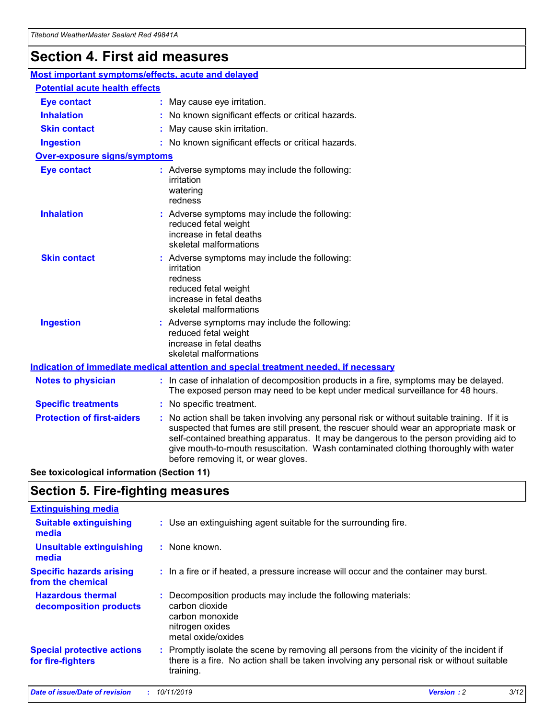## **Section 4. First aid measures**

| Most important symptoms/effects, acute and delayed |  |                                                                                                                                                                                                                                                                                                                                                                                                                 |  |
|----------------------------------------------------|--|-----------------------------------------------------------------------------------------------------------------------------------------------------------------------------------------------------------------------------------------------------------------------------------------------------------------------------------------------------------------------------------------------------------------|--|
| <b>Potential acute health effects</b>              |  |                                                                                                                                                                                                                                                                                                                                                                                                                 |  |
| <b>Eye contact</b>                                 |  | : May cause eye irritation.                                                                                                                                                                                                                                                                                                                                                                                     |  |
| <b>Inhalation</b>                                  |  | : No known significant effects or critical hazards.                                                                                                                                                                                                                                                                                                                                                             |  |
| <b>Skin contact</b>                                |  | : May cause skin irritation.                                                                                                                                                                                                                                                                                                                                                                                    |  |
| <b>Ingestion</b>                                   |  | : No known significant effects or critical hazards.                                                                                                                                                                                                                                                                                                                                                             |  |
| Over-exposure signs/symptoms                       |  |                                                                                                                                                                                                                                                                                                                                                                                                                 |  |
| <b>Eye contact</b>                                 |  | : Adverse symptoms may include the following:<br>irritation<br>watering<br>redness                                                                                                                                                                                                                                                                                                                              |  |
| <b>Inhalation</b>                                  |  | : Adverse symptoms may include the following:<br>reduced fetal weight<br>increase in fetal deaths<br>skeletal malformations                                                                                                                                                                                                                                                                                     |  |
| <b>Skin contact</b>                                |  | : Adverse symptoms may include the following:<br>irritation<br>redness<br>reduced fetal weight<br>increase in fetal deaths<br>skeletal malformations                                                                                                                                                                                                                                                            |  |
| <b>Ingestion</b>                                   |  | : Adverse symptoms may include the following:<br>reduced fetal weight<br>increase in fetal deaths<br>skeletal malformations                                                                                                                                                                                                                                                                                     |  |
|                                                    |  | <b>Indication of immediate medical attention and special treatment needed, if necessary</b>                                                                                                                                                                                                                                                                                                                     |  |
| <b>Notes to physician</b>                          |  | : In case of inhalation of decomposition products in a fire, symptoms may be delayed.<br>The exposed person may need to be kept under medical surveillance for 48 hours.                                                                                                                                                                                                                                        |  |
| <b>Specific treatments</b>                         |  | : No specific treatment.                                                                                                                                                                                                                                                                                                                                                                                        |  |
| <b>Protection of first-aiders</b>                  |  | : No action shall be taken involving any personal risk or without suitable training. If it is<br>suspected that fumes are still present, the rescuer should wear an appropriate mask or<br>self-contained breathing apparatus. It may be dangerous to the person providing aid to<br>give mouth-to-mouth resuscitation. Wash contaminated clothing thoroughly with water<br>before removing it, or wear gloves. |  |

**See toxicological information (Section 11)**

### **Section 5. Fire-fighting measures**

| <b>Extinguishing media</b>                             |                                                                                                                                                                                                     |
|--------------------------------------------------------|-----------------------------------------------------------------------------------------------------------------------------------------------------------------------------------------------------|
| <b>Suitable extinguishing</b><br>media                 | : Use an extinguishing agent suitable for the surrounding fire.                                                                                                                                     |
| <b>Unsuitable extinguishing</b><br>media               | : None known.                                                                                                                                                                                       |
| <b>Specific hazards arising</b><br>from the chemical   | : In a fire or if heated, a pressure increase will occur and the container may burst.                                                                                                               |
| <b>Hazardous thermal</b><br>decomposition products     | : Decomposition products may include the following materials:<br>carbon dioxide<br>carbon monoxide<br>nitrogen oxides<br>metal oxide/oxides                                                         |
| <b>Special protective actions</b><br>for fire-fighters | : Promptly isolate the scene by removing all persons from the vicinity of the incident if<br>there is a fire. No action shall be taken involving any personal risk or without suitable<br>training. |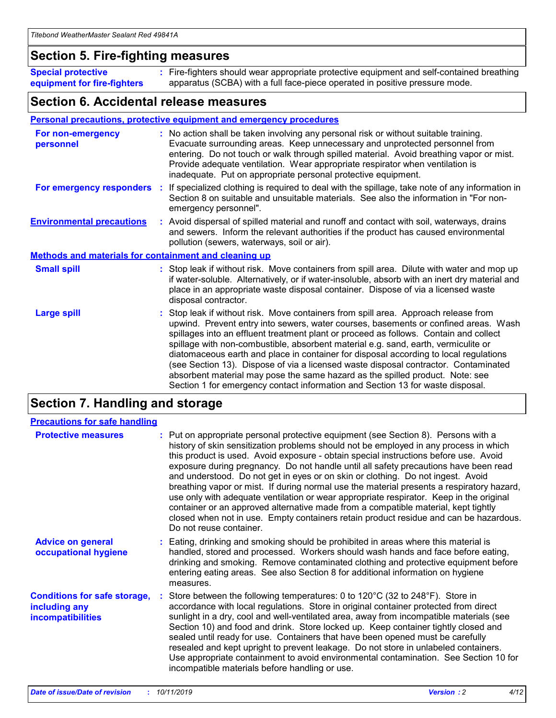### **Section 5. Fire-fighting measures**

**Special protective equipment for fire-fighters** Fire-fighters should wear appropriate protective equipment and self-contained breathing **:** apparatus (SCBA) with a full face-piece operated in positive pressure mode.

### **Section 6. Accidental release measures**

#### **Personal precautions, protective equipment and emergency procedures**

| For non-emergency<br>personnel   |                                                              | : No action shall be taken involving any personal risk or without suitable training.<br>Evacuate surrounding areas. Keep unnecessary and unprotected personnel from<br>entering. Do not touch or walk through spilled material. Avoid breathing vapor or mist.<br>Provide adequate ventilation. Wear appropriate respirator when ventilation is<br>inadequate. Put on appropriate personal protective equipment.                                                                                                                                                                                                                                                                                             |  |  |  |
|----------------------------------|--------------------------------------------------------------|--------------------------------------------------------------------------------------------------------------------------------------------------------------------------------------------------------------------------------------------------------------------------------------------------------------------------------------------------------------------------------------------------------------------------------------------------------------------------------------------------------------------------------------------------------------------------------------------------------------------------------------------------------------------------------------------------------------|--|--|--|
|                                  |                                                              | For emergency responders : If specialized clothing is required to deal with the spillage, take note of any information in<br>Section 8 on suitable and unsuitable materials. See also the information in "For non-<br>emergency personnel".                                                                                                                                                                                                                                                                                                                                                                                                                                                                  |  |  |  |
| <b>Environmental precautions</b> |                                                              | : Avoid dispersal of spilled material and runoff and contact with soil, waterways, drains<br>and sewers. Inform the relevant authorities if the product has caused environmental<br>pollution (sewers, waterways, soil or air).                                                                                                                                                                                                                                                                                                                                                                                                                                                                              |  |  |  |
|                                  | <b>Methods and materials for containment and cleaning up</b> |                                                                                                                                                                                                                                                                                                                                                                                                                                                                                                                                                                                                                                                                                                              |  |  |  |
| <b>Small spill</b>               |                                                              | : Stop leak if without risk. Move containers from spill area. Dilute with water and mop up<br>if water-soluble. Alternatively, or if water-insoluble, absorb with an inert dry material and<br>place in an appropriate waste disposal container. Dispose of via a licensed waste<br>disposal contractor.                                                                                                                                                                                                                                                                                                                                                                                                     |  |  |  |
| <b>Large spill</b>               |                                                              | : Stop leak if without risk. Move containers from spill area. Approach release from<br>upwind. Prevent entry into sewers, water courses, basements or confined areas. Wash<br>spillages into an effluent treatment plant or proceed as follows. Contain and collect<br>spillage with non-combustible, absorbent material e.g. sand, earth, vermiculite or<br>diatomaceous earth and place in container for disposal according to local regulations<br>(see Section 13). Dispose of via a licensed waste disposal contractor. Contaminated<br>absorbent material may pose the same hazard as the spilled product. Note: see<br>Section 1 for emergency contact information and Section 13 for waste disposal. |  |  |  |

## **Section 7. Handling and storage**

| <b>Precautions for safe handling</b>                                             |                                                                                                                                                                                                                                                                                                                                                                                                                                                                                                                                                                                                                                                                                                                                                                                                                                                  |
|----------------------------------------------------------------------------------|--------------------------------------------------------------------------------------------------------------------------------------------------------------------------------------------------------------------------------------------------------------------------------------------------------------------------------------------------------------------------------------------------------------------------------------------------------------------------------------------------------------------------------------------------------------------------------------------------------------------------------------------------------------------------------------------------------------------------------------------------------------------------------------------------------------------------------------------------|
| <b>Protective measures</b>                                                       | : Put on appropriate personal protective equipment (see Section 8). Persons with a<br>history of skin sensitization problems should not be employed in any process in which<br>this product is used. Avoid exposure - obtain special instructions before use. Avoid<br>exposure during pregnancy. Do not handle until all safety precautions have been read<br>and understood. Do not get in eyes or on skin or clothing. Do not ingest. Avoid<br>breathing vapor or mist. If during normal use the material presents a respiratory hazard,<br>use only with adequate ventilation or wear appropriate respirator. Keep in the original<br>container or an approved alternative made from a compatible material, kept tightly<br>closed when not in use. Empty containers retain product residue and can be hazardous.<br>Do not reuse container. |
| <b>Advice on general</b><br>occupational hygiene                                 | : Eating, drinking and smoking should be prohibited in areas where this material is<br>handled, stored and processed. Workers should wash hands and face before eating,<br>drinking and smoking. Remove contaminated clothing and protective equipment before<br>entering eating areas. See also Section 8 for additional information on hygiene<br>measures.                                                                                                                                                                                                                                                                                                                                                                                                                                                                                    |
| <b>Conditions for safe storage,</b><br>including any<br><b>incompatibilities</b> | Store between the following temperatures: 0 to 120°C (32 to 248°F). Store in<br>accordance with local regulations. Store in original container protected from direct<br>sunlight in a dry, cool and well-ventilated area, away from incompatible materials (see<br>Section 10) and food and drink. Store locked up. Keep container tightly closed and<br>sealed until ready for use. Containers that have been opened must be carefully<br>resealed and kept upright to prevent leakage. Do not store in unlabeled containers.<br>Use appropriate containment to avoid environmental contamination. See Section 10 for<br>incompatible materials before handling or use.                                                                                                                                                                         |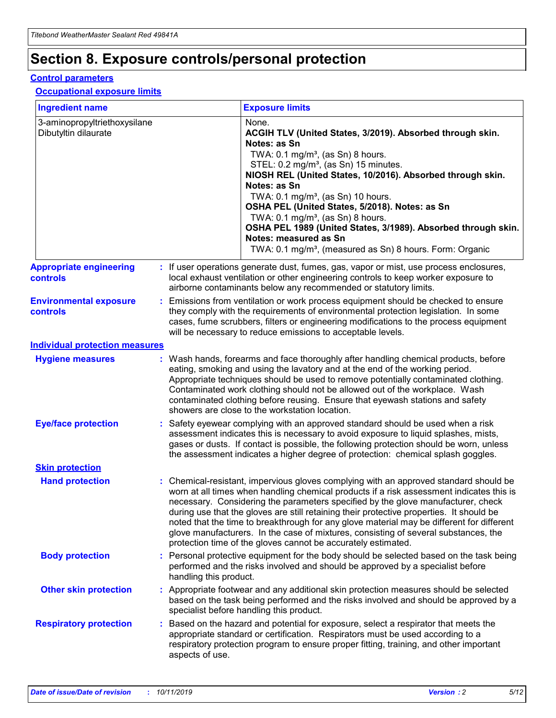## **Section 8. Exposure controls/personal protection**

#### **Control parameters**

#### **Occupational exposure limits**

| <b>Ingredient name</b>                               |    |                        | <b>Exposure limits</b>                                                                                                                                                                                                                                                                                                                                                                                                                                                                                                                                                                                                 |
|------------------------------------------------------|----|------------------------|------------------------------------------------------------------------------------------------------------------------------------------------------------------------------------------------------------------------------------------------------------------------------------------------------------------------------------------------------------------------------------------------------------------------------------------------------------------------------------------------------------------------------------------------------------------------------------------------------------------------|
| 3-aminopropyltriethoxysilane<br>Dibutyltin dilaurate |    |                        | None.<br>ACGIH TLV (United States, 3/2019). Absorbed through skin.<br>Notes: as Sn<br>TWA: $0.1 \text{ mg/m}^3$ , (as Sn) 8 hours.<br>STEL: 0.2 mg/m <sup>3</sup> , (as Sn) 15 minutes.<br>NIOSH REL (United States, 10/2016). Absorbed through skin.<br>Notes: as Sn<br>TWA: 0.1 mg/m <sup>3</sup> , (as Sn) 10 hours.<br>OSHA PEL (United States, 5/2018). Notes: as Sn<br>TWA: 0.1 mg/m <sup>3</sup> , (as Sn) 8 hours.<br>OSHA PEL 1989 (United States, 3/1989). Absorbed through skin.<br>Notes: measured as Sn<br>TWA: 0.1 mg/m <sup>3</sup> , (measured as Sn) 8 hours. Form: Organic                           |
| <b>Appropriate engineering</b><br>controls           |    |                        | : If user operations generate dust, fumes, gas, vapor or mist, use process enclosures,<br>local exhaust ventilation or other engineering controls to keep worker exposure to<br>airborne contaminants below any recommended or statutory limits.                                                                                                                                                                                                                                                                                                                                                                       |
| <b>Environmental exposure</b><br>controls            |    |                        | Emissions from ventilation or work process equipment should be checked to ensure<br>they comply with the requirements of environmental protection legislation. In some<br>cases, fume scrubbers, filters or engineering modifications to the process equipment<br>will be necessary to reduce emissions to acceptable levels.                                                                                                                                                                                                                                                                                          |
| <b>Individual protection measures</b>                |    |                        |                                                                                                                                                                                                                                                                                                                                                                                                                                                                                                                                                                                                                        |
| <b>Hygiene measures</b>                              |    |                        | : Wash hands, forearms and face thoroughly after handling chemical products, before<br>eating, smoking and using the lavatory and at the end of the working period.<br>Appropriate techniques should be used to remove potentially contaminated clothing.<br>Contaminated work clothing should not be allowed out of the workplace. Wash<br>contaminated clothing before reusing. Ensure that eyewash stations and safety<br>showers are close to the workstation location.                                                                                                                                            |
| <b>Eye/face protection</b>                           |    |                        | Safety eyewear complying with an approved standard should be used when a risk<br>assessment indicates this is necessary to avoid exposure to liquid splashes, mists,<br>gases or dusts. If contact is possible, the following protection should be worn, unless<br>the assessment indicates a higher degree of protection: chemical splash goggles.                                                                                                                                                                                                                                                                    |
| <b>Skin protection</b>                               |    |                        |                                                                                                                                                                                                                                                                                                                                                                                                                                                                                                                                                                                                                        |
| <b>Hand protection</b>                               |    |                        | : Chemical-resistant, impervious gloves complying with an approved standard should be<br>worn at all times when handling chemical products if a risk assessment indicates this is<br>necessary. Considering the parameters specified by the glove manufacturer, check<br>during use that the gloves are still retaining their protective properties. It should be<br>noted that the time to breakthrough for any glove material may be different for different<br>glove manufacturers. In the case of mixtures, consisting of several substances, the<br>protection time of the gloves cannot be accurately estimated. |
| <b>Body protection</b>                               |    | handling this product. | Personal protective equipment for the body should be selected based on the task being<br>performed and the risks involved and should be approved by a specialist before                                                                                                                                                                                                                                                                                                                                                                                                                                                |
| <b>Other skin protection</b>                         |    |                        | : Appropriate footwear and any additional skin protection measures should be selected<br>based on the task being performed and the risks involved and should be approved by a<br>specialist before handling this product.                                                                                                                                                                                                                                                                                                                                                                                              |
| <b>Respiratory protection</b>                        | ÷. | aspects of use.        | Based on the hazard and potential for exposure, select a respirator that meets the<br>appropriate standard or certification. Respirators must be used according to a<br>respiratory protection program to ensure proper fitting, training, and other important                                                                                                                                                                                                                                                                                                                                                         |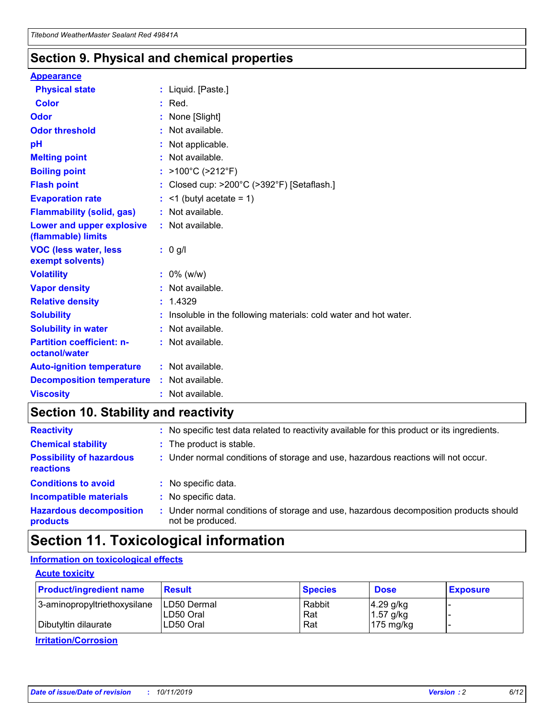### **Section 9. Physical and chemical properties**

#### **Appearance**

| <b>Physical state</b>                             | : Liquid. [Paste.]                                              |
|---------------------------------------------------|-----------------------------------------------------------------|
| Color                                             | $:$ Red.                                                        |
| Odor                                              | : None [Slight]                                                 |
| <b>Odor threshold</b>                             | : Not available.                                                |
| pH                                                | : Not applicable.                                               |
| <b>Melting point</b>                              | : Not available.                                                |
| <b>Boiling point</b>                              | : >100°C (>212°F)                                               |
| <b>Flash point</b>                                | : Closed cup: $>200^{\circ}$ C ( $>392^{\circ}$ F) [Setaflash.] |
| <b>Evaporation rate</b>                           | $:$ <1 (butyl acetate = 1)                                      |
| <b>Flammability (solid, gas)</b>                  | : Not available.                                                |
| Lower and upper explosive<br>(flammable) limits   | : Not available.                                                |
| <b>VOC (less water, less</b><br>exempt solvents)  | : 0 g/l                                                         |
| <b>Volatility</b>                                 | $: 0\%$ (w/w)                                                   |
| <b>Vapor density</b>                              | : Not available.                                                |
| <b>Relative density</b>                           | : 1.4329                                                        |
| <b>Solubility</b>                                 | Insoluble in the following materials: cold water and hot water. |
| <b>Solubility in water</b>                        | : Not available.                                                |
| <b>Partition coefficient: n-</b><br>octanol/water | $:$ Not available.                                              |
| <b>Auto-ignition temperature</b>                  | : Not available.                                                |
| <b>Decomposition temperature</b>                  | : Not available.                                                |
|                                                   |                                                                 |

## **Section 10. Stability and reactivity**

| <b>Reactivity</b>                            | : No specific test data related to reactivity available for this product or its ingredients.            |
|----------------------------------------------|---------------------------------------------------------------------------------------------------------|
| <b>Chemical stability</b>                    | : The product is stable.                                                                                |
| <b>Possibility of hazardous</b><br>reactions | : Under normal conditions of storage and use, hazardous reactions will not occur.                       |
| <b>Conditions to avoid</b>                   | : No specific data.                                                                                     |
| <b>Incompatible materials</b>                | : No specific data.                                                                                     |
| <b>Hazardous decomposition</b><br>products   | Under normal conditions of storage and use, hazardous decomposition products should<br>not be produced. |

## **Section 11. Toxicological information**

#### **Information on toxicological effects**

#### **Acute toxicity**

| <b>Product/ingredient name</b> | <b>Result</b>           | <b>Species</b> | <b>Dose</b>                | <b>Exposure</b> |
|--------------------------------|-------------------------|----------------|----------------------------|-----------------|
| 3-aminopropyltriethoxysilane   | <b>ILD50 Dermal</b>     | Rabbit         | 4.29 g/kg                  |                 |
| Dibutyltin dilaurate           | ILD50 Oral<br>LD50 Oral | Rat<br>Rat     | $1.57$ g/kg<br>175 $mg/kg$ |                 |
|                                |                         |                |                            |                 |

**Irritation/Corrosion**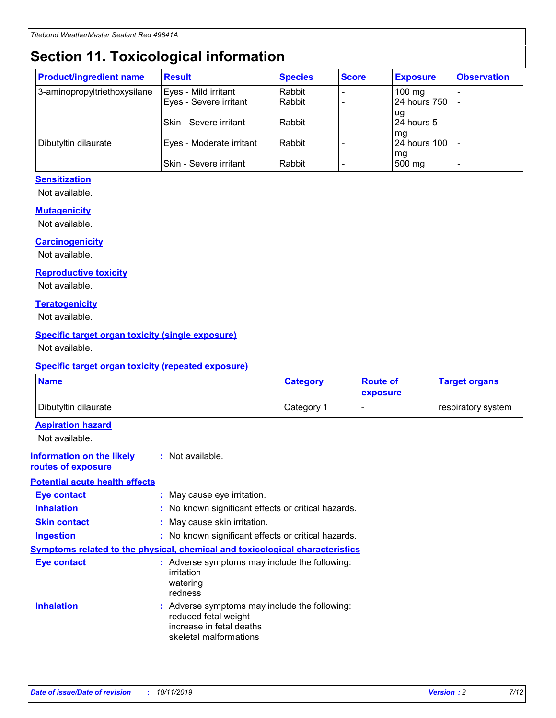## **Section 11. Toxicological information**

| <b>Product/ingredient name</b> | <b>Result</b>                 | <b>Species</b> | <b>Score</b> | <b>Exposure</b>           | <b>Observation</b> |
|--------------------------------|-------------------------------|----------------|--------------|---------------------------|--------------------|
| 3-aminopropyltriethoxysilane   | Eyes - Mild irritant          | Rabbit         |              | $100 \text{ mg}$          |                    |
|                                | Eyes - Severe irritant        | Rabbit         |              | 24 hours 750              |                    |
|                                |                               |                |              | ug                        |                    |
|                                | <b>Skin - Severe irritant</b> | Rabbit         |              | 24 hours 5                | -                  |
| Dibutyltin dilaurate           | Eyes - Moderate irritant      | Rabbit         |              | mq<br><b>24 hours 100</b> |                    |
|                                |                               |                |              | mg                        |                    |
|                                | Skin - Severe irritant        | Rabbit         |              | 500 mg                    |                    |

#### **Sensitization**

Not available.

#### **Mutagenicity**

Not available.

#### **Carcinogenicity**

Not available.

#### **Reproductive toxicity**

Not available.

#### **Teratogenicity**

Not available.

#### **Specific target organ toxicity (single exposure)**

Not available.

#### **Specific target organ toxicity (repeated exposure)**

| <b>Name</b>                                                                  |                                                                            | <b>Category</b>                                     | <b>Route of</b><br>exposure | <b>Target organs</b> |
|------------------------------------------------------------------------------|----------------------------------------------------------------------------|-----------------------------------------------------|-----------------------------|----------------------|
| Dibutyltin dilaurate                                                         |                                                                            | Category 1                                          | -                           | respiratory system   |
| <b>Aspiration hazard</b><br>Not available.                                   |                                                                            |                                                     |                             |                      |
| <b>Information on the likely</b><br>routes of exposure                       | : Not available.                                                           |                                                     |                             |                      |
| <b>Potential acute health effects</b>                                        |                                                                            |                                                     |                             |                      |
| <b>Eye contact</b>                                                           | : May cause eye irritation.                                                |                                                     |                             |                      |
| <b>Inhalation</b>                                                            |                                                                            | : No known significant effects or critical hazards. |                             |                      |
| <b>Skin contact</b>                                                          | : May cause skin irritation.                                               |                                                     |                             |                      |
| <b>Ingestion</b>                                                             |                                                                            | : No known significant effects or critical hazards. |                             |                      |
| Symptoms related to the physical, chemical and toxicological characteristics |                                                                            |                                                     |                             |                      |
| <b>Eye contact</b>                                                           | irritation<br>watering<br>redness                                          | : Adverse symptoms may include the following:       |                             |                      |
| <b>Inhalation</b>                                                            | reduced fetal weight<br>increase in fetal deaths<br>skeletal malformations | : Adverse symptoms may include the following:       |                             |                      |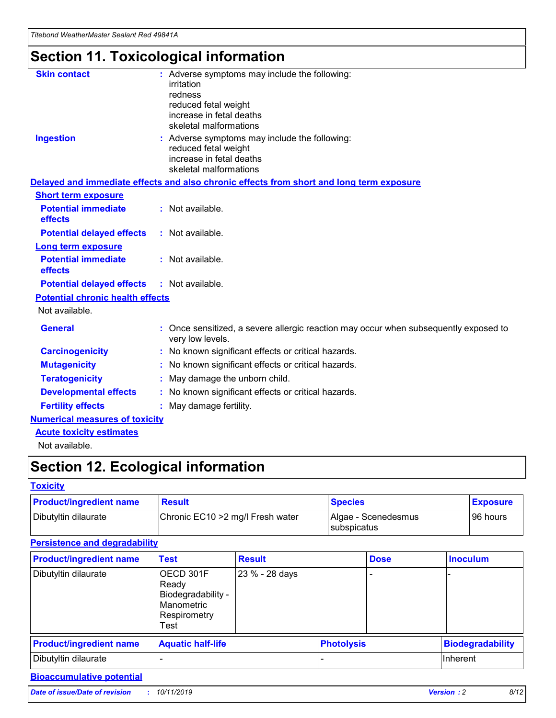## **Section 11. Toxicological information**

| <b>Skin contact</b>                     |                                                                                                          |
|-----------------------------------------|----------------------------------------------------------------------------------------------------------|
|                                         | : Adverse symptoms may include the following:<br>irritation                                              |
|                                         | redness                                                                                                  |
|                                         | reduced fetal weight                                                                                     |
|                                         | increase in fetal deaths                                                                                 |
|                                         | skeletal malformations                                                                                   |
| <b>Ingestion</b>                        | : Adverse symptoms may include the following:                                                            |
|                                         | reduced fetal weight                                                                                     |
|                                         | increase in fetal deaths                                                                                 |
|                                         | skeletal malformations                                                                                   |
|                                         | Delayed and immediate effects and also chronic effects from short and long term exposure                 |
| <b>Short term exposure</b>              |                                                                                                          |
| <b>Potential immediate</b>              | : Not available.                                                                                         |
| effects                                 |                                                                                                          |
| <b>Potential delayed effects</b>        | : Not available.                                                                                         |
| <b>Long term exposure</b>               |                                                                                                          |
| <b>Potential immediate</b>              | : Not available.                                                                                         |
| effects                                 |                                                                                                          |
| <b>Potential delayed effects</b>        | : Not available.                                                                                         |
| <b>Potential chronic health effects</b> |                                                                                                          |
| Not available.                          |                                                                                                          |
| <b>General</b>                          | : Once sensitized, a severe allergic reaction may occur when subsequently exposed to<br>very low levels. |
| <b>Carcinogenicity</b>                  | : No known significant effects or critical hazards.                                                      |
| <b>Mutagenicity</b>                     | No known significant effects or critical hazards.                                                        |
| <b>Teratogenicity</b>                   | May damage the unborn child.                                                                             |
| <b>Developmental effects</b>            | No known significant effects or critical hazards.                                                        |
| <b>Fertility effects</b>                | : May damage fertility.                                                                                  |
| <b>Numerical measures of toxicity</b>   |                                                                                                          |
| <b>Acute toxicity estimates</b>         |                                                                                                          |
|                                         |                                                                                                          |

Not available.

## **Section 12. Ecological information**

#### **Toxicity**

| <b>Product/ingredient name</b> | <b>Result</b>                     | <b>Species</b>                       | <b>Exposure</b> |
|--------------------------------|-----------------------------------|--------------------------------------|-----------------|
| Dibutyltin dilaurate           | Chronic EC10 > 2 mg/l Fresh water | Algae - Scenedesmus<br>I subspicatus | l 96 hours      |

#### **Persistence and degradability**

| <b>Product/ingredient name</b> | <b>Test</b>                                                                    | <b>Result</b>  |                   | <b>Dose</b> | <b>Inoculum</b>         |
|--------------------------------|--------------------------------------------------------------------------------|----------------|-------------------|-------------|-------------------------|
| Dibutyltin dilaurate           | OECD 301F<br>Ready<br>Biodegradability -<br>Manometric<br>Respirometry<br>Test | 23 % - 28 days |                   |             |                         |
| <b>Product/ingredient name</b> | <b>Aquatic half-life</b>                                                       |                | <b>Photolysis</b> |             | <b>Biodegradability</b> |
| Dibutyltin dilaurate           |                                                                                |                |                   |             | Inherent                |

#### **Bioaccumulative potential**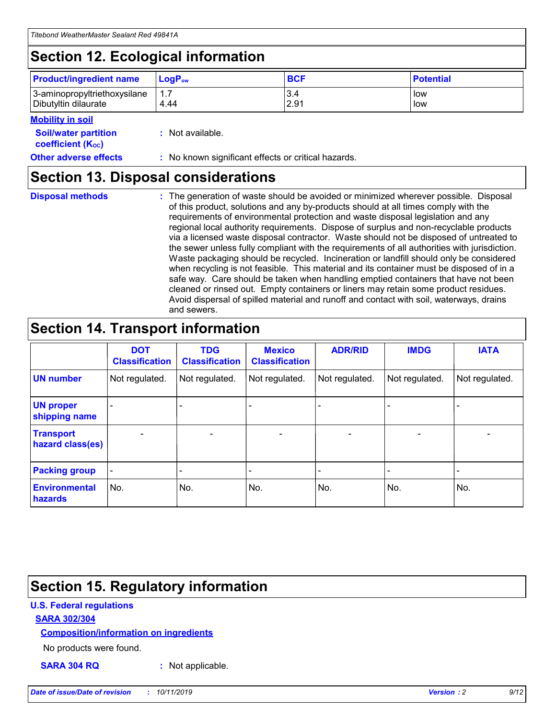## **Section 12. Ecological information**

| <b>Product/ingredient name</b> | $LoaPow$ | <b>BCF</b> | <b>Potential</b> |
|--------------------------------|----------|------------|------------------|
| 3-aminopropyltriethoxysilane   | 1.7      | 3.4        | low              |
| Dibutyltin dilaurate           | 4.44     | 2.91       | low              |

#### **Mobility in soil**

| <b>Soil/water partition</b><br>coefficient (K <sub>oc</sub> ) | : Not available.                                    |
|---------------------------------------------------------------|-----------------------------------------------------|
| <b>Other adverse effects</b>                                  | : No known significant effects or critical hazards. |

### **Section 13. Disposal considerations**

**Disposal methods :**

The generation of waste should be avoided or minimized wherever possible. Disposal of this product, solutions and any by-products should at all times comply with the requirements of environmental protection and waste disposal legislation and any regional local authority requirements. Dispose of surplus and non-recyclable products via a licensed waste disposal contractor. Waste should not be disposed of untreated to the sewer unless fully compliant with the requirements of all authorities with jurisdiction. Waste packaging should be recycled. Incineration or landfill should only be considered when recycling is not feasible. This material and its container must be disposed of in a safe way. Care should be taken when handling emptied containers that have not been cleaned or rinsed out. Empty containers or liners may retain some product residues. Avoid dispersal of spilled material and runoff and contact with soil, waterways, drains and sewers.

## **Section 14. Transport information**

|                                      | <b>DOT</b><br><b>Classification</b> | <b>TDG</b><br><b>Classification</b> | <b>Mexico</b><br><b>Classification</b> | <b>ADR/RID</b>           | <b>IMDG</b>              | <b>IATA</b>    |
|--------------------------------------|-------------------------------------|-------------------------------------|----------------------------------------|--------------------------|--------------------------|----------------|
| <b>UN number</b>                     | Not regulated.                      | Not regulated.                      | Not regulated.                         | Not regulated.           | Not regulated.           | Not regulated. |
| <b>UN proper</b><br>shipping name    |                                     |                                     |                                        |                          |                          |                |
| <b>Transport</b><br>hazard class(es) | $\overline{\phantom{a}}$            | $\overline{\phantom{0}}$            | $\overline{\phantom{0}}$               | $\overline{\phantom{0}}$ | $\overline{\phantom{0}}$ | $\blacksquare$ |
| <b>Packing group</b>                 | $\overline{\phantom{a}}$            |                                     |                                        |                          | -                        |                |
| <b>Environmental</b><br>hazards      | No.                                 | No.                                 | No.                                    | No.                      | No.                      | No.            |

## **Section 15. Regulatory information**

#### **U.S. Federal regulations**

#### **SARA 302/304**

#### **Composition/information on ingredients**

No products were found.

**SARA 304 RQ :** Not applicable.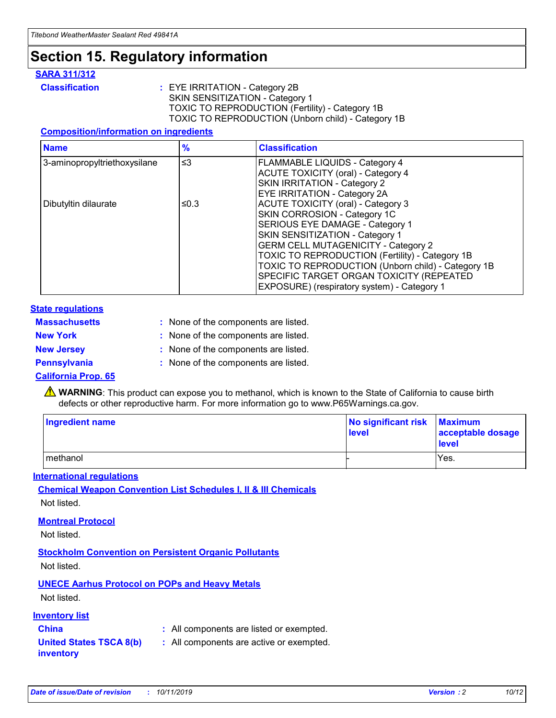## **Section 15. Regulatory information**

#### **SARA 311/312**

**Classification :** EYE IRRITATION - Category 2B SKIN SENSITIZATION - Category 1 TOXIC TO REPRODUCTION (Fertility) - Category 1B TOXIC TO REPRODUCTION (Unborn child) - Category 1B

#### **Composition/information on ingredients**

| <b>Name</b>                  | $\frac{9}{6}$ | <b>Classification</b>                                                                                            |
|------------------------------|---------------|------------------------------------------------------------------------------------------------------------------|
| 3-aminopropyltriethoxysilane | $\leq$ 3      | <b>FLAMMABLE LIQUIDS - Category 4</b><br><b>ACUTE TOXICITY (oral) - Category 4</b>                               |
|                              |               | SKIN IRRITATION - Category 2<br>EYE IRRITATION - Category 2A                                                     |
| Dibutyltin dilaurate         | ≤0.3          | ACUTE TOXICITY (oral) - Category 3<br>SKIN CORROSION - Category 1C                                               |
|                              |               | SERIOUS EYE DAMAGE - Category 1<br>SKIN SENSITIZATION - Category 1<br><b>GERM CELL MUTAGENICITY - Category 2</b> |
|                              |               | TOXIC TO REPRODUCTION (Fertility) - Category 1B<br>TOXIC TO REPRODUCTION (Unborn child) - Category 1B            |
|                              |               | SPECIFIC TARGET ORGAN TOXICITY (REPEATED<br>EXPOSURE) (respiratory system) - Category 1                          |

#### **State regulations**

| <b>Massachusetts</b> | : None of the components are listed. |
|----------------------|--------------------------------------|
| <b>New York</b>      | : None of the components are listed. |
| <b>New Jersey</b>    | : None of the components are listed. |
| <b>Pennsylvania</b>  | : None of the components are listed. |

#### **California Prop. 65**

**A** WARNING: This product can expose you to methanol, which is known to the State of California to cause birth defects or other reproductive harm. For more information go to www.P65Warnings.ca.gov.

| <b>Ingredient name</b> | No significant risk Maximum<br>level | acceptable dosage<br>level |
|------------------------|--------------------------------------|----------------------------|
| methanol               |                                      | Yes.                       |

#### **International regulations**

**Chemical Weapon Convention List Schedules I, II & III Chemicals** Not listed.

#### **Montreal Protocol**

Not listed.

**Stockholm Convention on Persistent Organic Pollutants**

Not listed.

#### **UNECE Aarhus Protocol on POPs and Heavy Metals**

Not listed.

#### **Inventory list**

### **China :** All components are listed or exempted.

**United States TSCA 8(b) inventory :** All components are active or exempted.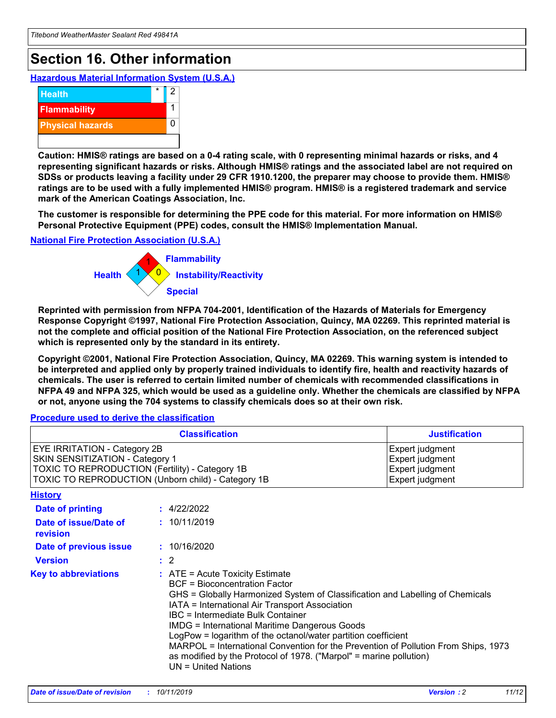## **Section 16. Other information**

**Hazardous Material Information System (U.S.A.)**



**Caution: HMIS® ratings are based on a 0-4 rating scale, with 0 representing minimal hazards or risks, and 4 representing significant hazards or risks. Although HMIS® ratings and the associated label are not required on SDSs or products leaving a facility under 29 CFR 1910.1200, the preparer may choose to provide them. HMIS® ratings are to be used with a fully implemented HMIS® program. HMIS® is a registered trademark and service mark of the American Coatings Association, Inc.**

**The customer is responsible for determining the PPE code for this material. For more information on HMIS® Personal Protective Equipment (PPE) codes, consult the HMIS® Implementation Manual.**

#### **National Fire Protection Association (U.S.A.)**



**Reprinted with permission from NFPA 704-2001, Identification of the Hazards of Materials for Emergency Response Copyright ©1997, National Fire Protection Association, Quincy, MA 02269. This reprinted material is not the complete and official position of the National Fire Protection Association, on the referenced subject which is represented only by the standard in its entirety.**

**Copyright ©2001, National Fire Protection Association, Quincy, MA 02269. This warning system is intended to be interpreted and applied only by properly trained individuals to identify fire, health and reactivity hazards of chemicals. The user is referred to certain limited number of chemicals with recommended classifications in NFPA 49 and NFPA 325, which would be used as a guideline only. Whether the chemicals are classified by NFPA or not, anyone using the 704 systems to classify chemicals does so at their own risk.**

#### **Procedure used to derive the classification**

| <b>Classification</b>                                                                                                                                                                  |                                                                                                                                                                                                                                                                   | <b>Justification</b>                                                                                                                                                                                                                                                                                       |  |
|----------------------------------------------------------------------------------------------------------------------------------------------------------------------------------------|-------------------------------------------------------------------------------------------------------------------------------------------------------------------------------------------------------------------------------------------------------------------|------------------------------------------------------------------------------------------------------------------------------------------------------------------------------------------------------------------------------------------------------------------------------------------------------------|--|
| <b>EYE IRRITATION - Category 2B</b><br>SKIN SENSITIZATION - Category 1<br><b>TOXIC TO REPRODUCTION (Fertility) - Category 1B</b><br>TOXIC TO REPRODUCTION (Unborn child) - Category 1B |                                                                                                                                                                                                                                                                   | Expert judgment<br>Expert judgment<br>Expert judgment<br>Expert judgment                                                                                                                                                                                                                                   |  |
| <b>History</b>                                                                                                                                                                         |                                                                                                                                                                                                                                                                   |                                                                                                                                                                                                                                                                                                            |  |
| <b>Date of printing</b>                                                                                                                                                                | : 4/22/2022                                                                                                                                                                                                                                                       |                                                                                                                                                                                                                                                                                                            |  |
| Date of issue/Date of<br>revision                                                                                                                                                      | : 10/11/2019                                                                                                                                                                                                                                                      |                                                                                                                                                                                                                                                                                                            |  |
| Date of previous issue                                                                                                                                                                 | : 10/16/2020                                                                                                                                                                                                                                                      |                                                                                                                                                                                                                                                                                                            |  |
| <b>Version</b>                                                                                                                                                                         | $\therefore$ 2                                                                                                                                                                                                                                                    |                                                                                                                                                                                                                                                                                                            |  |
| <b>Key to abbreviations</b>                                                                                                                                                            | $\therefore$ ATE = Acute Toxicity Estimate<br><b>BCF</b> = Bioconcentration Factor<br>IATA = International Air Transport Association<br><b>IBC</b> = Intermediate Bulk Container<br><b>IMDG = International Maritime Dangerous Goods</b><br>$UN = United Nations$ | GHS = Globally Harmonized System of Classification and Labelling of Chemicals<br>LogPow = logarithm of the octanol/water partition coefficient<br>MARPOL = International Convention for the Prevention of Pollution From Ships, 1973<br>as modified by the Protocol of 1978. ("Marpol" = marine pollution) |  |